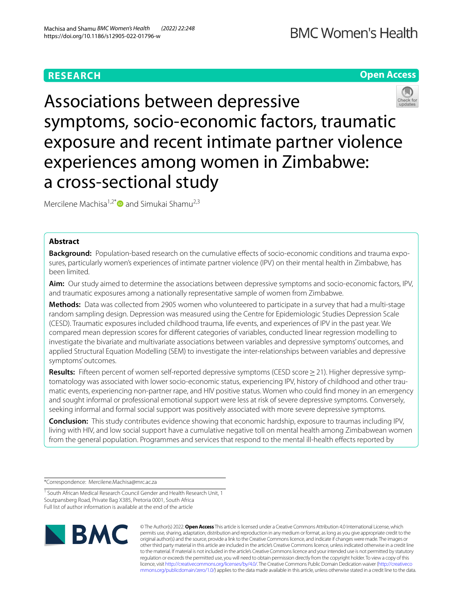# **RESEARCH**





Mercilene Machisa<sup>1,2\*</sup> and Simukai Shamu<sup>2,3</sup>

# **Abstract**

**Background:** Population-based research on the cumulative effects of socio-economic conditions and trauma exposures, particularly women's experiences of intimate partner violence (IPV) on their mental health in Zimbabwe, has been limited.

**Aim:** Our study aimed to determine the associations between depressive symptoms and socio-economic factors, IPV, and traumatic exposures among a nationally representative sample of women from Zimbabwe.

**Methods:** Data was collected from 2905 women who volunteered to participate in a survey that had a multi-stage random sampling design. Depression was measured using the Centre for Epidemiologic Studies Depression Scale (CESD). Traumatic exposures included childhood trauma, life events, and experiences of IPV in the past year. We compared mean depression scores for diferent categories of variables, conducted linear regression modelling to investigate the bivariate and multivariate associations between variables and depressive symptoms' outcomes, and applied Structural Equation Modelling (SEM) to investigate the inter-relationships between variables and depressive symptoms' outcomes.

**Results:** Fifteen percent of women self-reported depressive symptoms (CESD score > 21). Higher depressive symptomatology was associated with lower socio-economic status, experiencing IPV, history of childhood and other traumatic events, experiencing non-partner rape, and HIV positive status. Women who could fnd money in an emergency and sought informal or professional emotional support were less at risk of severe depressive symptoms. Conversely, seeking informal and formal social support was positively associated with more severe depressive symptoms.

**Conclusion:** This study contributes evidence showing that economic hardship, exposure to traumas including IPV, living with HIV, and low social support have a cumulative negative toll on mental health among Zimbabwean women from the general population. Programmes and services that respond to the mental ill-health efects reported by

\*Correspondence: Mercilene.Machisa@mrc.ac.za

<sup>&</sup>lt;sup>1</sup> South African Medical Research Council Gender and Health Research Unit, 1 Soutpansberg Road, Private Bag X385, Pretoria 0001, South Africa Full list of author information is available at the end of the article



© The Author(s) 2022. **Open Access** This article is licensed under a Creative Commons Attribution 4.0 International License, which permits use, sharing, adaptation, distribution and reproduction in any medium or format, as long as you give appropriate credit to the original author(s) and the source, provide a link to the Creative Commons licence, and indicate if changes were made. The images or other third party material in this article are included in the article's Creative Commons licence, unless indicated otherwise in a credit line to the material. If material is not included in the article's Creative Commons licence and your intended use is not permitted by statutory regulation or exceeds the permitted use, you will need to obtain permission directly from the copyright holder. To view a copy of this licence, visit [http://creativecommons.org/licenses/by/4.0/.](http://creativecommons.org/licenses/by/4.0/) The Creative Commons Public Domain Dedication waiver ([http://creativeco](http://creativecommons.org/publicdomain/zero/1.0/) [mmons.org/publicdomain/zero/1.0/](http://creativecommons.org/publicdomain/zero/1.0/)) applies to the data made available in this article, unless otherwise stated in a credit line to the data.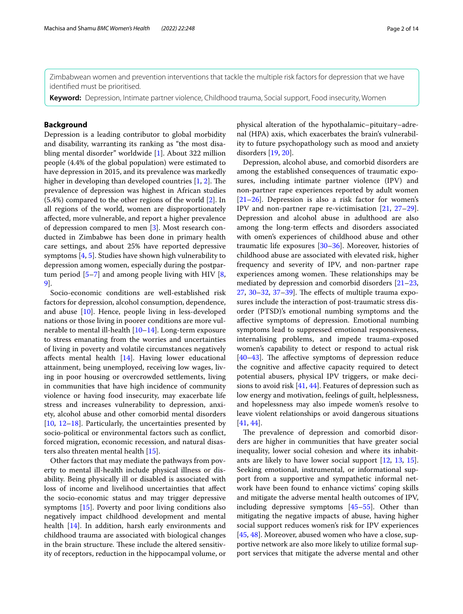Zimbabwean women and prevention interventions that tackle the multiple risk factors for depression that we have identifed must be prioritised.

**Keyword:** Depression, Intimate partner violence, Childhood trauma, Social support, Food insecurity, Women

# **Background**

Depression is a leading contributor to global morbidity and disability, warranting its ranking as "the most disabling mental disorder" worldwide [[1](#page-11-0)]. About 322 million people (4.4% of the global population) were estimated to have depression in 2015, and its prevalence was markedly higher in developing than developed countries  $[1, 2]$  $[1, 2]$  $[1, 2]$  $[1, 2]$ . The prevalence of depression was highest in African studies (5.4%) compared to the other regions of the world [[2\]](#page-11-1). In all regions of the world, women are disproportionately afected, more vulnerable, and report a higher prevalence of depression compared to men [[3\]](#page-11-2). Most research conducted in Zimbabwe has been done in primary health care settings, and about 25% have reported depressive symptoms [\[4](#page-11-3), [5\]](#page-11-4). Studies have shown high vulnerability to depression among women, especially during the postpartum period [[5–](#page-11-4)[7\]](#page-11-5) and among people living with HIV [\[8](#page-11-6), [9\]](#page-11-7).

Socio-economic conditions are well-established risk factors for depression, alcohol consumption, dependence, and abuse [[10\]](#page-11-8). Hence, people living in less-developed nations or those living in poorer conditions are more vulnerable to mental ill-health [\[10](#page-11-8)[–14\]](#page-11-9). Long-term exposure to stress emanating from the worries and uncertainties of living in poverty and volatile circumstances negatively afects mental health [[14\]](#page-11-9). Having lower educational attainment, being unemployed, receiving low wages, living in poor housing or overcrowded settlements, living in communities that have high incidence of community violence or having food insecurity, may exacerbate life stress and increases vulnerability to depression, anxiety, alcohol abuse and other comorbid mental disorders [[10,](#page-11-8) [12](#page-11-10)[–18](#page-12-0)]. Particularly, the uncertainties presented by socio-political or environmental factors such as confict, forced migration, economic recession, and natural disasters also threaten mental health [[15\]](#page-11-11).

Other factors that may mediate the pathways from poverty to mental ill-health include physical illness or disability. Being physically ill or disabled is associated with loss of income and livelihood uncertainties that afect the socio-economic status and may trigger depressive symptoms [[15\]](#page-11-11). Poverty and poor living conditions also negatively impact childhood development and mental health [[14\]](#page-11-9). In addition, harsh early environments and childhood trauma are associated with biological changes in the brain structure. These include the altered sensitivity of receptors, reduction in the hippocampal volume, or physical alteration of the hypothalamic–pituitary–adrenal (HPA) axis, which exacerbates the brain's vulnerability to future psychopathology such as mood and anxiety disorders [\[19](#page-12-1), [20](#page-12-2)].

Depression, alcohol abuse, and comorbid disorders are among the established consequences of traumatic exposures, including intimate partner violence (IPV) and non-partner rape experiences reported by adult women [[21–](#page-12-3)[26\]](#page-12-4). Depression is also a risk factor for women's IPV and non-partner rape re-victimisation [[21](#page-12-3), [27](#page-12-5)[–29](#page-12-6)]. Depression and alcohol abuse in adulthood are also among the long-term efects and disorders associated with omen's experiences of childhood abuse and other traumatic life exposures [[30](#page-12-7)[–36](#page-12-8)]. Moreover, histories of childhood abuse are associated with elevated risk, higher frequency and severity of IPV, and non-partner rape experiences among women. These relationships may be mediated by depression and comorbid disorders [[21–](#page-12-3)[23](#page-12-9),  $27, 30-32, 37-39$  $27, 30-32, 37-39$  $27, 30-32, 37-39$  $27, 30-32, 37-39$  $27, 30-32, 37-39$  $27, 30-32, 37-39$ . The effects of multiple trauma exposures include the interaction of post-traumatic stress disorder (PTSD)'s emotional numbing symptoms and the afective symptoms of depression. Emotional numbing symptoms lead to suppressed emotional responsiveness, internalising problems, and impede trauma-exposed women's capability to detect or respond to actual risk  $[40-43]$  $[40-43]$ . The affective symptoms of depression reduce the cognitive and afective capacity required to detect potential abusers, physical IPV triggers, or make decisions to avoid risk [\[41](#page-12-15), [44\]](#page-12-16). Features of depression such as low energy and motivation, feelings of guilt, helplessness, and hopelessness may also impede women's resolve to leave violent relationships or avoid dangerous situations [[41,](#page-12-15) [44](#page-12-16)].

The prevalence of depression and comorbid disorders are higher in communities that have greater social inequality, lower social cohesion and where its inhabitants are likely to have lower social support [\[12](#page-11-10), [13,](#page-11-12) [15](#page-11-11)]. Seeking emotional, instrumental, or informational support from a supportive and sympathetic informal network have been found to enhance victims' coping skills and mitigate the adverse mental health outcomes of IPV, including depressive symptoms [\[45–](#page-12-17)[55\]](#page-12-18). Other than mitigating the negative impacts of abuse, having higher social support reduces women's risk for IPV experiences [[45,](#page-12-17) [48](#page-12-19)]. Moreover, abused women who have a close, supportive network are also more likely to utilize formal support services that mitigate the adverse mental and other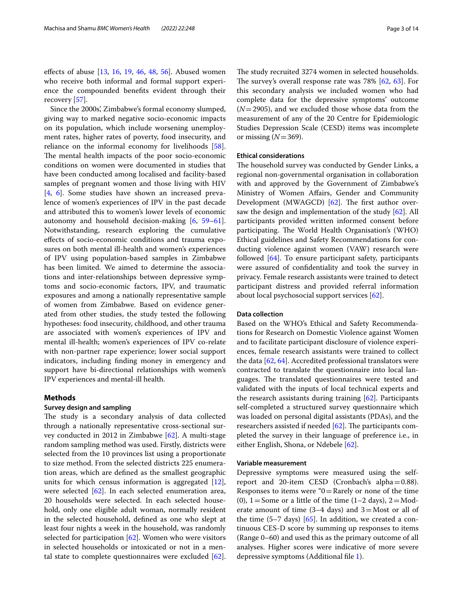efects of abuse [\[13](#page-11-12), [16,](#page-12-20) [19,](#page-12-1) [46](#page-12-21), [48,](#page-12-19) [56\]](#page-12-22). Abused women who receive both informal and formal support experience the compounded benefts evident through their recovery [[57](#page-12-23)].

Since the 2000s', Zimbabwe's formal economy slumped, giving way to marked negative socio-economic impacts on its population, which include worsening unemployment rates, higher rates of poverty, food insecurity, and reliance on the informal economy for livelihoods [\[58](#page-12-24)]. The mental health impacts of the poor socio-economic conditions on women were documented in studies that have been conducted among localised and facility-based samples of pregnant women and those living with HIV [[4,](#page-11-3) [6](#page-11-13)]. Some studies have shown an increased prevalence of women's experiences of IPV in the past decade and attributed this to women's lower levels of economic autonomy and household decision-making  $[6, 59-61]$  $[6, 59-61]$  $[6, 59-61]$  $[6, 59-61]$ . Notwithstanding, research exploring the cumulative efects of socio-economic conditions and trauma exposures on both mental ill-health and women's experiences of IPV using population-based samples in Zimbabwe has been limited. We aimed to determine the associations and inter-relationships between depressive symptoms and socio-economic factors, IPV, and traumatic exposures and among a nationally representative sample of women from Zimbabwe. Based on evidence generated from other studies, the study tested the following hypotheses: food insecurity, childhood, and other trauma are associated with women's experiences of IPV and mental ill-health; women's experiences of IPV co-relate with non-partner rape experience; lower social support indicators, including fnding money in emergency and support have bi-directional relationships with women's IPV experiences and mental-ill health.

# **Methods**

#### **Survey design and sampling**

The study is a secondary analysis of data collected through a nationally representative cross-sectional survey conducted in 2012 in Zimbabwe [[62](#page-13-1)]. A multi-stage random sampling method was used. Firstly, districts were selected from the 10 provinces list using a proportionate to size method. From the selected districts 225 enumeration areas, which are defned as the smallest geographic units for which census information is aggregated [\[12](#page-11-10)], were selected [\[62\]](#page-13-1). In each selected enumeration area, 20 households were selected. In each selected household, only one eligible adult woman, normally resident in the selected household, defned as one who slept at least four nights a week in the household, was randomly selected for participation [\[62](#page-13-1)]. Women who were visitors in selected households or intoxicated or not in a mental state to complete questionnaires were excluded [\[62](#page-13-1)]. The study recruited 3274 women in selected households. The survey's overall response rate was  $78\%$  [[62,](#page-13-1) [63](#page-13-2)]. For this secondary analysis we included women who had complete data for the depressive symptoms' outcome (*N*=2905), and we excluded those whose data from the measurement of any of the 20 Centre for Epidemiologic Studies Depression Scale (CESD) items was incomplete or missing  $(N=369)$ .

## **Ethical considerations**

The household survey was conducted by Gender Links, a regional non-governmental organisation in collaboration with and approved by the Government of Zimbabwe's Ministry of Women Afairs, Gender and Community Development (MWAGCD)  $[62]$  $[62]$ . The first author oversaw the design and implementation of the study [\[62](#page-13-1)]. All participants provided written informed consent before participating. The World Health Organisation's (WHO) Ethical guidelines and Safety Recommendations for conducting violence against women (VAW) research were followed [[64\]](#page-13-3). To ensure participant safety, participants were assured of confdentiality and took the survey in privacy. Female research assistants were trained to detect participant distress and provided referral information about local psychosocial support services [[62](#page-13-1)].

### **Data collection**

Based on the WHO's Ethical and Safety Recommendations for Research on Domestic Violence against Women and to facilitate participant disclosure of violence experiences, female research assistants were trained to collect the data [[62,](#page-13-1) [64\]](#page-13-3). Accredited professional translators were contracted to translate the questionnaire into local languages. The translated questionnaires were tested and validated with the inputs of local technical experts and the research assistants during training [[62\]](#page-13-1). Participants self-completed a structured survey questionnaire which was loaded on personal digital assistants (PDAs), and the researchers assisted if needed  $[62]$  $[62]$ . The participants completed the survey in their language of preference i.e., in either English, Shona, or Ndebele [\[62](#page-13-1)].

## **Variable measurement**

Depressive symptoms were measured using the selfreport and 20-item CESD (Cronbach's alpha=0.88). Responses to items were " $0=$ Rarely or none of the time (0),  $1 =$  Some or a little of the time (1–2 days),  $2 =$ Moderate amount of time  $(3-4 \text{ days})$  and  $3=$ Most or all of the time  $(5-7 \text{ days})$  [\[65](#page-13-4)]. In addition, we created a continuous CES-D score by summing up responses to items (Range 0–60) and used this as the primary outcome of all analyses. Higher scores were indicative of more severe depressive symptoms (Additional fle [1\)](#page-11-14).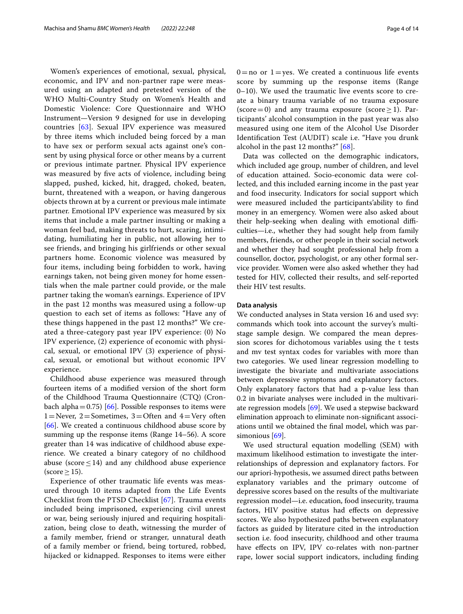Women's experiences of emotional, sexual, physical, economic, and IPV and non-partner rape were measured using an adapted and pretested version of the WHO Multi-Country Study on Women's Health and Domestic Violence: Core Questionnaire and WHO Instrument—Version 9 designed for use in developing countries [\[63](#page-13-2)]. Sexual IPV experience was measured by three items which included being forced by a man to have sex or perform sexual acts against one's consent by using physical force or other means by a current or previous intimate partner. Physical IPV experience was measured by fve acts of violence, including being slapped, pushed, kicked, hit, dragged, choked, beaten, burnt, threatened with a weapon, or having dangerous objects thrown at by a current or previous male intimate partner. Emotional IPV experience was measured by six items that include a male partner insulting or making a woman feel bad, making threats to hurt, scaring, intimidating, humiliating her in public, not allowing her to see friends, and bringing his girlfriends or other sexual partners home. Economic violence was measured by four items, including being forbidden to work, having earnings taken, not being given money for home essentials when the male partner could provide, or the male partner taking the woman's earnings. Experience of IPV in the past 12 months was measured using a follow-up question to each set of items as follows: "Have any of these things happened in the past 12 months?" We created a three-category past year IPV experience: (0) No IPV experience, (2) experience of economic with physical, sexual, or emotional IPV (3) experience of physical, sexual, or emotional but without economic IPV experience.

Childhood abuse experience was measured through fourteen items of a modifed version of the short form of the Childhood Trauma Questionnaire (CTQ) (Cron-bach alpha=0.75) [[66](#page-13-5)]. Possible responses to items were 1=Never, 2=Sometimes, 3=Often and  $4=$ Very often [[66\]](#page-13-5). We created a continuous childhood abuse score by summing up the response items (Range 14–56). A score greater than 14 was indicative of childhood abuse experience. We created a binary category of no childhood abuse (score  $\leq$  14) and any childhood abuse experience  $(score>15)$ .

Experience of other traumatic life events was measured through 10 items adapted from the Life Events Checklist from the PTSD Checklist [\[67](#page-13-6)]. Trauma events included being imprisoned, experiencing civil unrest or war, being seriously injured and requiring hospitalization, being close to death, witnessing the murder of a family member, friend or stranger, unnatural death of a family member or friend, being tortured, robbed, hijacked or kidnapped. Responses to items were either  $0=$ no or  $1=$ yes. We created a continuous life events score by summing up the response items (Range 0–10). We used the traumatic live events score to create a binary trauma variable of no trauma exposure (score=0) and any trauma exposure (score  $\geq$  1). Participants' alcohol consumption in the past year was also measured using one item of the Alcohol Use Disorder Identifcation Test (AUDIT) scale i.e. "Have you drunk alcohol in the past 12 months?" [\[68](#page-13-7)].

Data was collected on the demographic indicators, which included age group, number of children, and level of education attained. Socio-economic data were collected, and this included earning income in the past year and food insecurity. Indicators for social support which were measured included the participants'ability to fnd money in an emergency. Women were also asked about their help-seeking when dealing with emotional difficulties—i.e., whether they had sought help from family members, friends, or other people in their social network and whether they had sought professional help from a counsellor, doctor, psychologist, or any other formal service provider. Women were also asked whether they had tested for HIV, collected their results, and self-reported their HIV test results.

## **Data analysis**

We conducted analyses in Stata version 16 and used svy: commands which took into account the survey's multistage sample design. We compared the mean depression scores for dichotomous variables using the t tests and mv test syntax codes for variables with more than two categories. We used linear regression modelling to investigate the bivariate and multivariate associations between depressive symptoms and explanatory factors. Only explanatory factors that had a p-value less than 0.2 in bivariate analyses were included in the multivariate regression models [\[69\]](#page-13-8). We used a stepwise backward elimination approach to eliminate non-signifcant associations until we obtained the fnal model, which was par-simonious [\[69](#page-13-8)].

We used structural equation modelling (SEM) with maximum likelihood estimation to investigate the interrelationships of depression and explanatory factors. For our apriori-hypothesis, we assumed direct paths between explanatory variables and the primary outcome of depressive scores based on the results of the multivariate regression model—i.e. education, food insecurity, trauma factors, HIV positive status had efects on depressive scores. We also hypothesized paths between explanatory factors as guided by literature cited in the introduction section i.e. food insecurity, childhood and other trauma have efects on IPV, IPV co-relates with non-partner rape, lower social support indicators, including fnding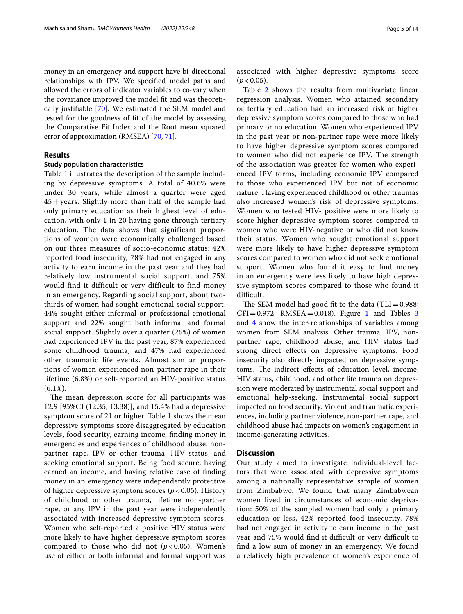money in an emergency and support have bi-directional

relationships with IPV. We specifed model paths and allowed the errors of indicator variables to co-vary when the covariance improved the model ft and was theoretically justifable [\[70](#page-13-9)]. We estimated the SEM model and tested for the goodness of ft of the model by assessing the Comparative Fit Index and the Root mean squared error of approximation (RMSEA) [[70,](#page-13-9) [71\]](#page-13-10).

# **Results**

## **Study population characteristics**

Table [1](#page-5-0) illustrates the description of the sample including by depressive symptoms. A total of 40.6% were under 30 years, while almost a quarter were aged  $45 + \text{years}$ . Slightly more than half of the sample had only primary education as their highest level of education, with only 1 in 20 having gone through tertiary education. The data shows that significant proportions of women were economically challenged based on our three measures of socio-economic status: 42% reported food insecurity, 78% had not engaged in any activity to earn income in the past year and they had relatively low instrumental social support, and 75% would find it difficult or very difficult to find money in an emergency. Regarding social support, about twothirds of women had sought emotional social support: 44% sought either informal or professional emotional support and 22% sought both informal and formal social support. Slightly over a quarter (26%) of women had experienced IPV in the past year, 87% experienced some childhood trauma, and 47% had experienced other traumatic life events. Almost similar proportions of women experienced non-partner rape in their lifetime (6.8%) or self-reported an HIV-positive status  $(6.1\%).$ 

The mean depression score for all participants was 12.9 [95%CI (12.35, 13.38)], and 15.4% had a depressive symptom score of 21 or higher. Table [1](#page-5-0) shows the mean depressive symptoms score disaggregated by education levels, food security, earning income, fnding money in emergencies and experiences of childhood abuse, nonpartner rape, IPV or other trauma, HIV status, and seeking emotional support. Being food secure, having earned an income, and having relative ease of fnding money in an emergency were independently protective of higher depressive symptom scores (*p* < 0.05). History of childhood or other trauma, lifetime non-partner rape, or any IPV in the past year were independently associated with increased depressive symptom scores. Women who self-reported a positive HIV status were more likely to have higher depressive symptom scores compared to those who did not  $(p < 0.05)$ . Women's use of either or both informal and formal support was associated with higher depressive symptoms score  $(p < 0.05)$ .

Table [2](#page-7-0) shows the results from multivariate linear regression analysis. Women who attained secondary or tertiary education had an increased risk of higher depressive symptom scores compared to those who had primary or no education. Women who experienced IPV in the past year or non-partner rape were more likely to have higher depressive symptom scores compared to women who did not experience IPV. The strength of the association was greater for women who experienced IPV forms, including economic IPV compared to those who experienced IPV but not of economic nature. Having experienced childhood or other traumas also increased women's risk of depressive symptoms. Women who tested HIV- positive were more likely to score higher depressive symptom scores compared to women who were HIV-negative or who did not know their status. Women who sought emotional support were more likely to have higher depressive symptom scores compared to women who did not seek emotional support. Women who found it easy to fnd money in an emergency were less likely to have high depressive symptom scores compared to those who found it difficult.

The SEM model had good fit to the data (TLI=0.988;  $CFI = 0.972$ ; RMSEA = 0.018). Figure [1](#page-7-1) and Tables [3](#page-8-0) and [4](#page-10-0) show the inter-relationships of variables among women from SEM analysis. Other trauma, IPV, nonpartner rape, childhood abuse, and HIV status had strong direct efects on depressive symptoms. Food insecurity also directly impacted on depressive symptoms. The indirect effects of education level, income, HIV status, childhood, and other life trauma on depression were moderated by instrumental social support and emotional help-seeking. Instrumental social support impacted on food security. Violent and traumatic experiences, including partner violence, non-partner rape, and childhood abuse had impacts on women's engagement in income-generating activities.

## **Discussion**

Our study aimed to investigate individual-level factors that were associated with depressive symptoms among a nationally representative sample of women from Zimbabwe. We found that many Zimbabwean women lived in circumstances of economic deprivation: 50% of the sampled women had only a primary education or less, 42% reported food insecurity, 78% had not engaged in activity to earn income in the past year and 75% would find it difficult or very difficult to fnd a low sum of money in an emergency. We found a relatively high prevalence of women's experience of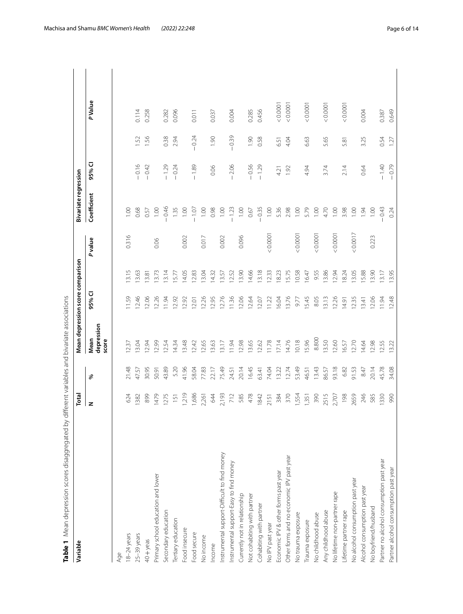<span id="page-5-0"></span>

| $\overline{\phantom{a}}$                                                                                                        |
|---------------------------------------------------------------------------------------------------------------------------------|
|                                                                                                                                 |
|                                                                                                                                 |
|                                                                                                                                 |
| $\frac{1}{2}$                                                                                                                   |
| ١                                                                                                                               |
| -<br>2<br>2<br>2<br>2                                                                                                           |
|                                                                                                                                 |
|                                                                                                                                 |
|                                                                                                                                 |
|                                                                                                                                 |
|                                                                                                                                 |
|                                                                                                                                 |
|                                                                                                                                 |
|                                                                                                                                 |
|                                                                                                                                 |
|                                                                                                                                 |
|                                                                                                                                 |
|                                                                                                                                 |
|                                                                                                                                 |
|                                                                                                                                 |
|                                                                                                                                 |
|                                                                                                                                 |
|                                                                                                                                 |
|                                                                                                                                 |
| $\ddot{\phantom{a}}$                                                                                                            |
|                                                                                                                                 |
|                                                                                                                                 |
|                                                                                                                                 |
|                                                                                                                                 |
|                                                                                                                                 |
|                                                                                                                                 |
|                                                                                                                                 |
| $\overline{ }$                                                                                                                  |
| ١                                                                                                                               |
| ١                                                                                                                               |
|                                                                                                                                 |
|                                                                                                                                 |
|                                                                                                                                 |
|                                                                                                                                 |
|                                                                                                                                 |
|                                                                                                                                 |
|                                                                                                                                 |
| エナコン りょうこう こうごう フィック こうこうこう キュクシス 非二ク こうごう クラキュラ りょうこう こうこうしょう うりこうりょう うっか アート・ラン しょうこう こうこうこう こうこうこう こうこうこう<br>デリニアアリコン ハリンソリー |
|                                                                                                                                 |
|                                                                                                                                 |
|                                                                                                                                 |
|                                                                                                                                 |
| ׅ֖֖֖֖֖֖֖֖ׅ֖ׅׅׅׅׅׅׅׅׅׅׅׅׅ֖֧ׅ֖֧֪ׅ֖֧֧ׅ֖֚֚֚֚֚֚֚֚֚֚֚֚֚֚֚֚֚֡֡֬֝֝֞֝֝֝֞֞֞֞֞֝֞֞֞֞֝֬֝֞֞֞֝֝֬֝֞֞֞֞֝֝֬֝֝֞֝֞֝֝֬                               |
| )<br>  NN DN DN DN DN                                                                                                           |
|                                                                                                                                 |
|                                                                                                                                 |
|                                                                                                                                 |
|                                                                                                                                 |
|                                                                                                                                 |
| ŧ                                                                                                                               |
| d<br>֧֧֦֧֦֕                                                                                                                     |
|                                                                                                                                 |

| Variable                                     | Total |       | Mean depression score comparison |             |       |        | <b>Bivariate regression</b> |         |         |          |  |
|----------------------------------------------|-------|-------|----------------------------------|-------------|-------|--------|-----------------------------|---------|---------|----------|--|
|                                              | z     | ৡ     | depression<br>Mean<br>score      | 95% CI      |       | Pvalue | Coefficient                 | 95% CI  |         | PValue   |  |
| Age                                          |       |       |                                  |             |       |        |                             |         |         |          |  |
| 8-24 years                                   | 624   | 21.48 | 1237                             | <b>1.59</b> | 3.15  | 0.316  | 1,00                        |         |         |          |  |
| 25-39 years                                  | 1382  | 47.57 | 3.04                             | 12.46       | 3.63  |        | 0.68                        | $-0.16$ | 1.52    | 0.114    |  |
| $40 + y$ eas                                 | 899   | 30.95 | 12.94                            | 2.06        | 3.81  |        | 0.57                        | $-0.42$ | 1.56    | 0.258    |  |
| Primary school education and lower           | 1479  | 50.91 | 12.99                            | 2.26        | 3.73  | 0.06   | 00.1                        |         |         |          |  |
| Secondary education                          | 1275  | 43.89 | 12.54                            | 1.94        | 3.14  |        | $-0.46$                     | $-1.29$ | 0.38    | 0.282    |  |
| Tertiary education                           | 151   | 5.20  | 4.34                             | 2.92        | 5.77  |        | 1.35                        | $-0.24$ | 2.94    | 0.096    |  |
| Food insecure                                | 1,219 | 41.96 | 3.48                             | 12.92       | 14.05 | 0.002  | 1.00                        |         |         |          |  |
| Food secure                                  | 1,686 | 58.04 | 12.42                            | 12.01       | 12.83 |        | $-1.07$                     | $-1.89$ | $-0.24$ | 0.011    |  |
| No income                                    | 2,261 | 77.83 | 12.65                            | 12.26       | 13.04 | 0.017  | 1.00                        |         |         |          |  |
| Income                                       | 644   | 22.17 | 13.63                            | 2.95        | 14.32 |        | 0.98                        | 0.06    | 1.90    | 0.037    |  |
| Instrumental support-Difficult to find money | 2,193 | 75.49 | 3.17                             | 2.76        | 13.57 | 0.002  | 1.00                        |         |         |          |  |
| Instrumental support-Easy to find money      | 712   | 24.51 | 1.94                             | 1.36        | 2.52  |        | 1.23                        | $-2.06$ | $-0.39$ | 0.004    |  |
| Currently not in relationship                | 585   | 20.14 | 2.98                             | 2.06        | 13.90 | 0.096  | 1.00                        |         |         |          |  |
| Not cohabiting with partner                  | 478   | 16.45 | 13.65                            | 2.64        | 14.66 |        | 0.67                        | $-0.56$ | 1.90    | 0.285    |  |
| Cohabiting with partner                      | 1842  | 63.41 | 12.62                            | 2.07        | 13.18 |        | $-0.35$                     | $-1.29$ | 0.58    | 0.456    |  |
| No IPV past year                             | 2151  | 74.04 | 11.78                            | 11.22       | 12.33 | 0.0001 | 00.1                        |         |         |          |  |
| Economic IPV & other forms past year         | 384   | 13.22 | 7.14                             | 16.04       | 18.23 |        | 5.36                        | 4.21    | 6.51    | < 0.0001 |  |
| Other forms and no economic IPV past year    | 370   | 12.74 | 4.76                             | 3.76        | 15.75 |        | 2.98                        | 1.92    | 4.04    | 0.0001   |  |
| No trauma exposure                           | 1,554 | 53.49 | 10.18                            | 9.77        | 10.58 | 0.0001 | 00.1                        |         |         |          |  |
| Trauma exposure                              | 1,351 | 46.51 | 15.96                            | 5.45        | 16.47 |        | 5.79                        | 4.94    | 6.63    | & 0.0007 |  |
| No childhood abuse                           | 390   | 13.43 | 8.800                            | 8.05        | 9.55  | 0.0001 | 1.00                        |         |         |          |  |
| Any childhood abuse                          | 2515  | 86.57 | 13.50                            | 3.13        | 3.86  |        | 4.70                        | 3.74    | 5.65    | 0.0001   |  |
| No lifetime non-partner rape                 | 2,707 | 93.18 | 12.60                            | 2.26        | 2.94  | 0.0001 | 1.00                        |         |         |          |  |
| Lifetime partner rape                        | 198   | 6.82  | 6.57                             | 4.91        | 8.24  |        | 3.98                        | 2.14    | 5.81    | < 0.0001 |  |
| No alcohol consumption past year             | 2659  | 91.53 | 12.70                            | 12.35       | 3.05  | 0.0017 | 0.00                        |         |         |          |  |
| Alcohol consumption past year                | 246   | 8.47  | 4.64                             | 3.41        | 5.88  |        | 1.94                        | 0.64    | 3.25    | 0.004    |  |
| No boyfriend/husband                         | 585   | 20.14 | 12.98                            | 12.06       | 13.90 | 0.223  | 1.00                        |         |         |          |  |
| Partner no alcohol consumption past year     | 1330  | 45.78 | 12.55                            | 11.94       | 13.17 |        | $-0.43$                     | $-1.40$ | 0.54    | 0.387    |  |
| Partner alcohol consumption past year        | 990   | 34.08 | 13.22                            | 12.48       | 13.95 |        | 0.24                        | $-0.79$ | 1.27    | 0.649    |  |
|                                              |       |       |                                  |             |       |        |                             |         |         |          |  |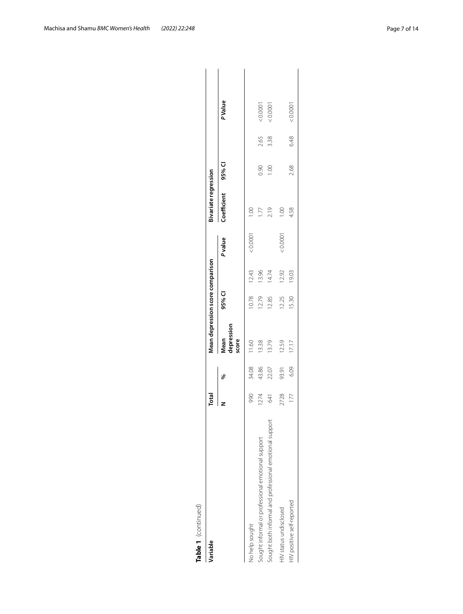| ۹<br>r |
|--------|
| г      |
|        |
|        |
|        |

| Variable                                                | Total |       | Mean depression score comparison |        |       |        | Bivariate regression |        |      |               |
|---------------------------------------------------------|-------|-------|----------------------------------|--------|-------|--------|----------------------|--------|------|---------------|
|                                                         |       | ℅     | depression<br>Mean<br>score      | 95% CI |       | Pvalue | Coefficient          | 95% CI |      | <b>PValue</b> |
| No help sought                                          | 990   | 34.08 | 11.60                            | 10.78  | 12.43 | 0.0001 | $\frac{0}{100}$      |        |      |               |
| Sought informal or professional emotional support       | 1274  | 43.86 | 13.38                            | 12.79  | 13.96 |        | 1.77                 | 0.90   | 2.65 |               |
| Sought both informal and professional emotional support | 641   | 22.07 | 13.79                            | 12.85  | 14.74 |        | 2.19                 | 00.1   | 3.38 | 0.0001        |
| HIV status undisclosed                                  | 2728  | 93.91 | 12.59                            | 12.25  | 12.92 | 0.0001 | $\frac{0}{2}$        |        |      |               |
| HIV positive self-reported                              | 177   | 6.09  | 17.17                            | 15.30  | 19.03 |        | 4.58                 | 2.68   | 6.48 | 0.0001        |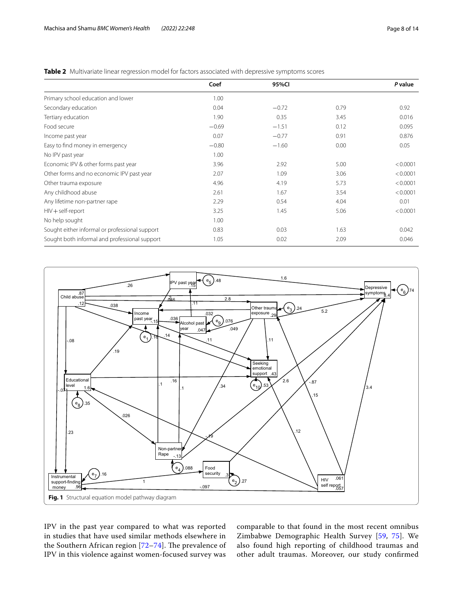|                                                | Coef    | 95%CI   |      | P value  |
|------------------------------------------------|---------|---------|------|----------|
| Primary school education and lower             | 1.00    |         |      |          |
| Secondary education                            | 0.04    | $-0.72$ | 0.79 | 0.92     |
| Tertiary education                             | 1.90    | 0.35    | 3.45 | 0.016    |
| Food secure                                    | $-0.69$ | $-1.51$ | 0.12 | 0.095    |
| Income past year                               | 0.07    | $-0.77$ | 0.91 | 0.876    |
| Easy to find money in emergency                | $-0.80$ | $-1.60$ | 0.00 | 0.05     |
| No IPV past year                               | 1.00    |         |      |          |
| Economic IPV & other forms past year           | 3.96    | 2.92    | 5.00 | < 0.0001 |
| Other forms and no economic IPV past year      | 2.07    | 1.09    | 3.06 | < 0.0001 |
| Other trauma exposure                          | 4.96    | 4.19    | 5.73 | < 0.0001 |
| Any childhood abuse                            | 2.61    | 1.67    | 3.54 | < 0.0001 |
| Any lifetime non-partner rape                  | 2.29    | 0.54    | 4.04 | 0.01     |
| $HIV + self-report$                            | 3.25    | 1.45    | 5.06 | < 0.0001 |
| No help sought                                 | 1.00    |         |      |          |
| Sought either informal or professional support | 0.83    | 0.03    | 1.63 | 0.042    |
| Sought both informal and professional support  | 1.05    | 0.02    | 2.09 | 0.046    |

<span id="page-7-0"></span>**Table 2** Multivariate linear regression model for factors associated with depressive symptoms scores



<span id="page-7-1"></span>IPV in the past year compared to what was reported in studies that have used similar methods elsewhere in the Southern African region  $[72-74]$  $[72-74]$ . The prevalence of IPV in this violence against women-focused survey was

comparable to that found in the most recent omnibus Zimbabwe Demographic Health Survey [[59,](#page-12-25) [75](#page-13-13)]. We also found high reporting of childhood traumas and other adult traumas. Moreover, our study confrmed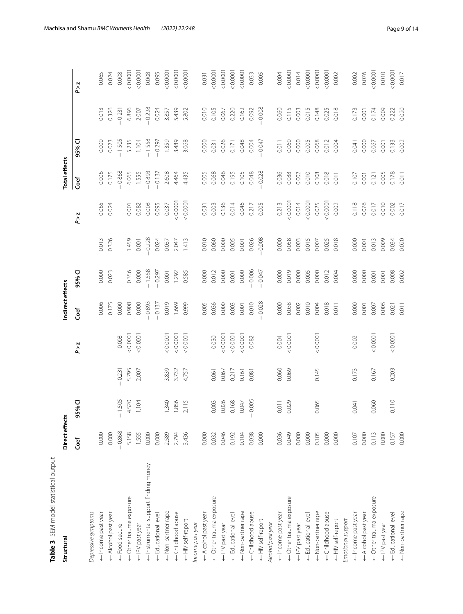<span id="page-8-0"></span>

| Table 3 SEM model statistical output |               |          |          |        |                  |          |          |        |                      |          |          |          |
|--------------------------------------|---------------|----------|----------|--------|------------------|----------|----------|--------|----------------------|----------|----------|----------|
| Structural                           | Direct effect | 'n       |          |        | Indirect effects |          |          |        | <b>Total effects</b> |          |          |          |
|                                      | Coef          | 95% CI   |          | P > Z  | Coef             | 95% CI   |          | P > Z  | Coef                 | 95% CI   |          | P > z    |
| Depressive symptoms                  |               |          |          |        |                  |          |          |        |                      |          |          |          |
| + Income past year                   | 0.000         |          |          |        | 0.006            | 0.000    | 0.013    | 0.065  | 0.006                | 0.000    | 0.013    | 0.065    |
| Alcohol past year                    | 0.000         |          |          |        | 0.175            | 0.023    | 0.326    | 0.024  | 0.175                | 0.023    | 0.326    | 0.024    |
| ← Food secure                        | $-0.868$      | $-1.505$ | $-0.231$ | 0.008  | 0.000            |          |          |        | $-0.868$             | $-1.505$ | $-0.231$ | 0.008    |
| ← Other trauma exposure              | 5.158         | 4.520    | 5.795    | 0.0001 | 0.908            | 0.356    | 1.459    | 0.001  | 6.065                | 5.235    | 6.896    | 0.0001   |
| ← IPV past year                      | 1.555         | 1.104    | 2.007    | 0.0001 | 0.000            | 0.000    | 0.001    | 0.082  | 1.555                | 1.104    | 2.007    | < 0.0001 |
| ← Instrumental support-finding money | 0.000         |          |          |        | $-0.893$         | $-1.558$ | $-0.228$ | 0.008  | $-0.893$             | $-1.558$ | $-0.228$ | 0.008    |
| ← Educational level                  | 0.000         |          |          |        | $-0.137$         | $-0.297$ | 0.024    | 0.095  | $-0.137$             | $-0.297$ | 0.024    | 0.095    |
| <- Non-partner rape                  | 2.589         | 1.340    | 3.839    | 0.0001 | 0.019            | 0.001    | 0.037    | 0.037  | 2.608                | 1.359    | 3.857    | 0.0001   |
| - Childhood abuse                    | 2.794         | 1.856    | 3.732    | 0.0001 | 1.669            | 1.292    | 2.047    | 0.0001 | 4.464                | 3.489    | 5.439    | 0.0001   |
| <- HIV self-report                   | 3.436         | 2.115    | 4.757    | 0.0001 | 0.999            | 0.585    | 1.413    | 0.0001 | 4.435                | 3.068    | 5.802    | 100000   |
| Income past year                     |               |          |          |        |                  |          |          |        |                      |          |          |          |
| Alcohol past year                    | 0.000         |          |          |        | 0.005            | 0.000    | 0.010    | 0.031  | 0.005                | 0.000    | 0.010    | 0.031    |
| Other trauma exposure                | 0.032         | 0.003    | 0.061    | 0.030  | 0.036            | 0.012    | 0.060    | 0.003  | 0.068                | 0.031    | 0.105    | 0.0001   |
| <- IPV past year                     | 0.046         | 0.026    | 0.067    | 0.0001 | 0.000            | 0.000    | 0.000    | 0.136  | 0.046                | 0.026    | 0.067    | 0.0001   |
| Educational level                    | 0.192         | 0.168    | 0.217    | 0.0001 | 0.003            | 0.001    | 0.005    | 0.014  | 0.195                | 0.171    | 0.220    | 0.0001   |
| -Non-partner rape                    | 0.104         | 0.047    | 0.161    | 0.0001 | 0.001            | 0.000    | 0.001    | 0.046  | 0.105                | 0.048    | 0.162    | 0.0001   |
| <<br>Childhood abuse                 | 0.038         | 0.005    | 0.081    | 0.082  | 0.010            | $-0.006$ | 0.026    | 0.217  | 0.048                | 0.004    | 0.092    | 0.033    |
| <- HIV self-report                   | 0.000         |          |          |        | $-0.028$         | $-0.047$ | $-0.008$ | 0.005  | $-0.028$             | $-0.047$ | $-0.008$ | 0.005    |
| Alcohol past year                    |               |          |          |        |                  |          |          |        |                      |          |          |          |
| ← Income past year                   | 0.036         | 0.011    | 0.060    | 0.004  | 0.000            | 0.000    | 0.000    | 0.213  | 0.036                | 0.011    | 0.060    | 0.004    |
| ← Other trauma exposure              | 0.049         | 0.029    | 0.069    | 0.0001 | 0.038            | 0.019    | 0.058    | 0.0001 | 0.088                | 0.060    | 0.115    | 0.0001   |
| ← IPV past year                      | 0.000         |          |          |        | 0.002            | 0.000    | 0.003    | 0.014  | 0.002                | 0.000    | 0.003    | 0.014    |
| Educational level                    | 0.000         |          |          |        | 0.010            | 0.005    | 0.015    | 0.0001 | 0.010                | 0.005    | 0.015    | 0.0001   |
| <- Non-partner rape                  | 0.105         | 0.065    | 0.145    | 0.0001 | 0.004            | 0.000    | 0.007    | 0.025  | 0.108                | 0.068    | 0.148    | 100000   |
| ← Childhood abuse                    | 0.000         |          |          |        | 0.018            | 0.012    | 0.025    | 0.0001 | 0.018                | 0.012    | 0.025    | 0.0001   |
| ← HIV self-report                    | 0.000         |          |          |        | 0.011            | 0.004    | 0.018    | 0.002  | 0.011                | 0.004    | 0.018    | 0.002    |
| Emotional support                    |               |          |          |        |                  |          |          |        |                      |          |          |          |
| ← Income past year                   | 0.107         | 0.041    | 0.173    | 0.002  | 0.000            | 0.000    | 0.000    | 0.118  | 0.107                | 0.041    | 0.173    | 0.002    |
| ← Alcohol past year                  | 0.000         |          |          |        | 0.001            | 0.000    | 0.001    | 0.076  | 0.001                | 0.000    | 0.001    | 0.076    |
| ← Other trauma exposure              | 0.113         | 0.060    | 0.167    | 0.0001 | 0.007            | 0.001    | 0.013    | 0.017  | 0.121                | 0.067    | 0.174    | 0.0001   |
| ← IPV past year                      | 0.000         |          |          |        | 0.005            | 0.001    | 0.009    | 0.010  | 0.005                | 0.001    | 0.009    | 0.010    |
| ← Educational level                  | 0.157         | 0.110    | 0.203    | 0.0001 | 0.021            | 0.008    | 0.034    | 0.002  | 0.178                | 0.133    | 0.222    | 0.0001   |
| <- Non-partner rape                  | 0.000         |          |          |        | 0.011            | 0.002    | 0.020    | 0.017  | 0.011                | 0.002    | 0.020    | 0.017    |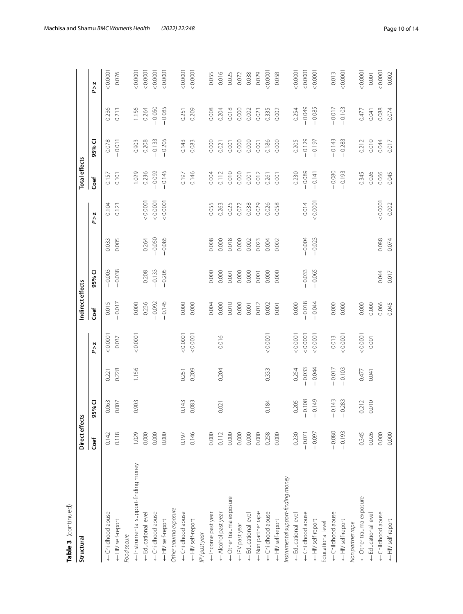| Table 3 (continued)                  |                |            |          |          |                  |          |          |          |                      |          |          |          |
|--------------------------------------|----------------|------------|----------|----------|------------------|----------|----------|----------|----------------------|----------|----------|----------|
| Structural                           | Direct effects |            |          |          | Indirect effects |          |          |          | <b>Total effects</b> |          |          |          |
|                                      | Coef           | 5% CI<br>Ō |          | P > Z    | Coef             | 95% CI   |          | P > Z    | Coef                 | 95% CI   |          | P > z    |
| - Childhood abuse                    | 0.142          | 0.063      | 0.221    | 0.0001   | 0.015            | $-0.003$ | 0.033    | 0.104    | 0.157                | 0.078    | 0.236    | 0.0001   |
| <<br>HIV self-report                 | 0.118          | 0.007      | 0.228    | 0.037    | $-0.017$         | $-0.038$ | 0.005    | 0.123    | 0.101                | $-0.011$ | 0.213    | 0.076    |
| Food secure                          |                |            |          |          |                  |          |          |          |                      |          |          |          |
| ← Instrumental support-finding money | 1.029          | 0.903      | 1.156    | 0.0001   | 0.000            |          |          |          | 1.029                | 0.903    | 1.156    | 0.0001   |
| ← Educational level                  | 0.000          |            |          |          | 0.236            | 0.208    | 0.264    | < 0.0001 | 0.236                | 0.208    | 0.264    | 0.0001   |
| ← Childhood abuse                    | 0.000          |            |          |          | $-0.092$         | $-0.133$ | $-0.050$ | 0.0001   | $-0.092$             | $-0.133$ | $-0.050$ | 0.0001   |
| ← HIV self-report                    | 0.000          |            |          |          | $-0.145$         | $-0.205$ | $-0.085$ | < 0.0001 | $-0.145$             | $-0.205$ | $-0.085$ | 0.0001   |
| Other trauma exposure                |                |            |          |          |                  |          |          |          |                      |          |          |          |
| ← Childhood abuse                    | 0.197          | 0.143      | 0.251    | 0.0001   | 0.000            |          |          |          | 0.197                | 0.143    | 0.251    | < 0.0001 |
| ← HIV self-report                    | 0.146          | 0.083      | 0.209    | 0.0001   | 0.000            |          |          |          | 0.146                | 0.083    | 0.209    | 0.0001   |
| IPV past year                        |                |            |          |          |                  |          |          |          |                      |          |          |          |
| ← Income past year                   | 0.000          |            |          |          | 0.004            | 0.000    | 0.008    | 0.055    | 0.004                | 0.000    | 0.008    | 0.055    |
| ← Alcohol past year                  | 0.112          | 0.021      | 0.204    | 0.016    | 0.000            | 0.000    | 0.000    | 0.263    | 0.112                | 0.021    | 0.204    | 0.016    |
| ← Other trauma exposure              | 0.000          |            |          |          | 0.010            | 0.001    | 0.018    | 0.025    | 0.010                | 0.001    | 0.018    | 0.025    |
| ← IPV past year                      | 0.000          |            |          |          | 0.000            | 0.000    | 0.000    | 0.072    | 0.000                | 0.000    | 0.000    | 0.072    |
| <- Educational level                 | 0.000          |            |          |          | 0.001            | 0.000    | 0.002    | 0.038    | 0.001                | 0.000    | 0.002    | 0.038    |
| Non partner rape                     | 0.000          |            |          |          | 0.012            | 0.001    | 0.023    | 0.029    | 0.012                | 0.001    | 0.023    | 0.029    |
| ← Childhood abuse                    | 0.258          | 0.184      | 0.333    | < 0.0001 | 0.002            | 0.000    | 0.004    | 0.026    | 0.261                | 0.186    | 0.335    | 0.0001   |
| <- HIV self-report                   | 0.000          |            |          |          | 0.001            | 0.000    | 0.002    | 0.058    | 0.001                | 0.000    | 0.002    | 0.058    |
| Instrumental support-finding money   |                |            |          |          |                  |          |          |          |                      |          |          |          |
| <br>Educational level                | 0.230          | 0.205      | 0.254    | &0.0001  | 0.000            |          |          |          | 0.230                | 0.205    | 0.254    | 0.0001   |
| ← Childhood abuse                    | $-0.071$       | 0.108      | $-0.033$ | 0.0001   | $-0.018$         | $-0.033$ | $-0.004$ | 0.014    | $-0.089$             | $-0.129$ | $-0.049$ | 0.0001   |
| ← HIV self-report                    | 0.097          | 0.149      | $-0.044$ | 0.0001   | $-0.044$         | $-0.065$ | $-0.023$ | 100000   | $-0.141$             | $-0.197$ | $-0.085$ | < 0.0001 |
| Educational level                    |                |            |          |          |                  |          |          |          |                      |          |          |          |
|                                      | $-0.080$       | 0.143      | $-0.017$ | 0.013    | 0.000            |          |          |          | $-0.080$             | $-0.143$ | $-0.017$ | 0.013    |
| <- HIV self-report                   | $-0.193$       | 0.283      | 0.103    | 0.0001   | 0.000            |          |          |          | $-0.193$             | $-0.283$ | $-0.103$ | < 0.0001 |
| Non partner rape                     |                |            |          |          |                  |          |          |          |                      |          |          |          |
| ← Other trauma exposure              | 0.345          | 0.212      | 0.477    | 0.0001   | 0.000            |          |          |          | 0.345                | 0.212    | 0.477    | 0.0001   |
| ← Educational level                  | 0.026          | 0.010      | 0.041    | 0.001    | 0.000            |          |          |          | 0.026                | 0.010    | 0.041    | 0.001    |
| ← Childhood abuse                    | 0.000          |            |          |          | 0.066            | 0.044    | 0.088    | 0.0001   | 0.066                | 0.044    | 0.088    | < 0.0001 |
| ← HIV self-report                    | 0.000          |            |          |          | 0.045            | 0.017    | 0.074    | 0.002    | 0.045                | 0.017    | 0.074    | 0.002    |

Table 3 (continued)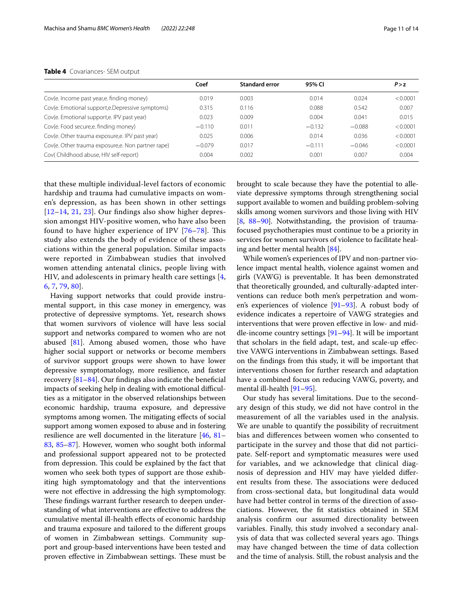## <span id="page-10-0"></span>**Table 4** Covariances- SEM output

|                                                   | Coef     | <b>Standard error</b> | 95% CI   |          | P > z    |
|---------------------------------------------------|----------|-----------------------|----------|----------|----------|
| Cov(e. Income past year,e. finding money)         | 0.019    | 0.003                 | 0.014    | 0.024    | < 0.0001 |
| Cov(e. Emotional support,e.Depressive symptoms)   | 0.315    | 0.116                 | 0.088    | 0.542    | 0.007    |
| Cov(e. Emotional support,e. IPV past year)        | 0.023    | 0.009                 | 0.004    | 0.041    | 0.015    |
| Cov(e. Food secure,e. finding money)              | $-0.110$ | 0.011                 | $-0.132$ | $-0.088$ | < 0.0001 |
| Cov(e. Other trauma exposure,e. IPV past year)    | 0.025    | 0.006                 | 0.014    | 0.036    | < 0.0001 |
| Cov(e. Other trauma exposure,e. Non partner rape) | $-0.079$ | 0.017                 | $-0.111$ | $-0.046$ | < 0.0001 |
| Cov(Childhood abuse, HIV self-report)             | 0.004    | 0.002                 | 0.001    | 0.007    | 0.004    |

that these multiple individual-level factors of economic hardship and trauma had cumulative impacts on women's depression, as has been shown in other settings [[12](#page-11-10)[–14](#page-11-9), [21,](#page-12-3) [23\]](#page-12-9). Our fndings also show higher depression amongst HIV-positive women, who have also been found to have higher experience of IPV  $[76-78]$  $[76-78]$  $[76-78]$ . This study also extends the body of evidence of these associations within the general population. Similar impacts were reported in Zimbabwean studies that involved women attending antenatal clinics, people living with HIV, and adolescents in primary health care settings [\[4](#page-11-3), [6,](#page-11-13) [7,](#page-11-5) [79,](#page-13-16) [80\]](#page-13-17).

Having support networks that could provide instrumental support, in this case money in emergency, was protective of depressive symptoms. Yet, research shows that women survivors of violence will have less social support and networks compared to women who are not abused [[81](#page-13-18)]. Among abused women, those who have higher social support or networks or become members of survivor support groups were shown to have lower depressive symptomatology, more resilience, and faster recovery  $[81-84]$  $[81-84]$  $[81-84]$ . Our findings also indicate the beneficial impacts of seeking help in dealing with emotional difficulties as a mitigator in the observed relationships between economic hardship, trauma exposure, and depressive symptoms among women. The mitigating effects of social support among women exposed to abuse and in fostering resilience are well documented in the literature [[46](#page-12-21), [81–](#page-13-18) [83](#page-13-20), [85–](#page-13-21)[87\]](#page-13-22). However, women who sought both informal and professional support appeared not to be protected from depression. This could be explained by the fact that women who seek both types of support are those exhibiting high symptomatology and that the interventions were not efective in addressing the high symptomology. These findings warrant further research to deepen understanding of what interventions are efective to address the cumulative mental ill-health efects of economic hardship and trauma exposure and tailored to the diferent groups of women in Zimbabwean settings. Community support and group-based interventions have been tested and proven effective in Zimbabwean settings. These must be

brought to scale because they have the potential to alleviate depressive symptoms through strengthening social support available to women and building problem-solving skills among women survivors and those living with HIV [[8,](#page-11-6) [88–](#page-13-23)[90](#page-13-24)]. Notwithstanding, the provision of traumafocused psychotherapies must continue to be a priority in services for women survivors of violence to facilitate healing and better mental health [\[84\]](#page-13-19).

While women's experiences of IPV and non-partner violence impact mental health, violence against women and girls (VAWG) is preventable. It has been demonstrated that theoretically grounded, and culturally-adapted interventions can reduce both men's perpetration and women's experiences of violence [[91–](#page-13-25)[93](#page-13-26)]. A robust body of evidence indicates a repertoire of VAWG strategies and interventions that were proven efective in low- and middle-income country settings [[91](#page-13-25)[–94](#page-13-27)]. It will be important that scholars in the feld adapt, test, and scale-up efective VAWG interventions in Zimbabwean settings. Based on the fndings from this study, it will be important that interventions chosen for further research and adaptation have a combined focus on reducing VAWG, poverty, and mental ill-health [[91](#page-13-25)[–95](#page-13-28)].

Our study has several limitations. Due to the secondary design of this study, we did not have control in the measurement of all the variables used in the analysis. We are unable to quantify the possibility of recruitment bias and diferences between women who consented to participate in the survey and those that did not participate. Self-report and symptomatic measures were used for variables, and we acknowledge that clinical diagnosis of depression and HIV may have yielded diferent results from these. The associations were deduced from cross-sectional data, but longitudinal data would have had better control in terms of the direction of associations. However, the ft statistics obtained in SEM analysis confrm our assumed directionality between variables. Finally, this study involved a secondary analysis of data that was collected several years ago. Things may have changed between the time of data collection and the time of analysis. Still, the robust analysis and the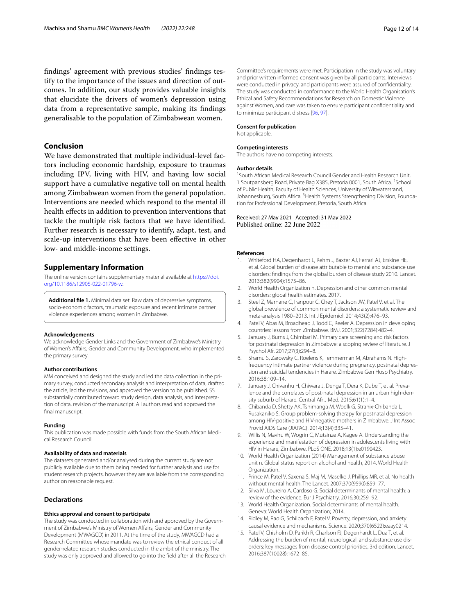fndings' agreement with previous studies' fndings testify to the importance of the issues and direction of outcomes. In addition, our study provides valuable insights that elucidate the drivers of women's depression using data from a representative sample, making its fndings generalisable to the population of Zimbabwean women.

# **Conclusion**

We have demonstrated that multiple individual-level factors including economic hardship, exposure to traumas including IPV, living with HIV, and having low social support have a cumulative negative toll on mental health among Zimbabwean women from the general population. Interventions are needed which respond to the mental ill health efects in addition to prevention interventions that tackle the multiple risk factors that we have identifed. Further research is necessary to identify, adapt, test, and scale-up interventions that have been efective in other low- and middle-income settings.

## **Supplementary Information**

The online version contains supplementary material available at [https://doi.](https://doi.org/10.1186/s12905-022-01796-w) [org/10.1186/s12905-022-01796-w.](https://doi.org/10.1186/s12905-022-01796-w)

<span id="page-11-14"></span>**Additional fle 1.** Minimal data set. Raw data of depressive symptoms, socio-economic factors, traumatic exposure and recent intimate partner violence experiences among women in Zimbabwe.

#### **Acknowledgements**

We acknowledge Gender Links and the Government of Zimbabwe's Ministry of Women's Afairs, Gender and Community Development, who implemented the primary survey.

#### **Author contributions**

MM conceived and designed the study and led the data collection in the primary survey, conducted secondary analysis and interpretation of data, drafted the article, led the revisions, and approved the version to be published. SS substantially contributed toward study design, data analysis, and interpretation of data, revision of the manuscript. All authors read and approved the final manuscript.

#### **Funding**

This publication was made possible with funds from the South African Medical Research Council.

#### **Availability of data and materials**

The datasets generated and/or analysed during the current study are not publicly available due to them being needed for further analysis and use for student research projects, however they are available from the corresponding author on reasonable request.

## **Declarations**

### **Ethics approval and consent to participate**

The study was conducted in collaboration with and approved by the Government of Zimbabwe's Ministry of Women Afairs, Gender and Community Development (MWAGCD) in 2011. At the time of the study, MWAGCD had a Research Committee whose mandate was to review the ethical conduct of all gender-related research studies conducted in the ambit of the ministry. The study was only approved and allowed to go into the feld after all the Research Committee's requirements were met. Participation in the study was voluntary and prior written informed consent was given by all participants. Interviews were conducted in privacy, and participants were assured of confdentiality. The study was conducted in conformance to the World Health Organisation's Ethical and Safety Recommendations for Research on Domestic Violence against Women, and care was taken to ensure participant confdentiality and to minimize participant distress [[96](#page-13-29), [97](#page-13-30)].

#### **Consent for publication**

Not applicable.

#### **Competing interests**

The authors have no competing interests.

#### **Author details**

<sup>1</sup> South African Medical Research Council Gender and Health Research Unit, 1 Soutpansberg Road, Private Bag X385, Pretoria 0001, South Africa. <sup>2</sup>School of Public Health, Faculty of Health Sciences, University of Witwatersrand, Johannesburg, South Africa. <sup>3</sup> Health Systems Strengthening Division, Foundation for Professional Development, Pretoria, South Africa.

## Received: 27 May 2021 Accepted: 31 May 2022 Published online: 22 June 2022

#### **References**

- <span id="page-11-0"></span>Whiteford HA, Degenhardt L, Rehm J, Baxter AJ, Ferrari AJ, Erskine HE, et al. Global burden of disease attributable to mental and substance use disorders: fndings from the global burden of disease study 2010. Lancet. 2013;382(9904):1575–86.
- <span id="page-11-1"></span>2. World Health Organization n. Depression and other common mental disorders: global health estimates. 2017.
- <span id="page-11-2"></span>3. Steel Z, Marnane C, Iranpour C, Chey T, Jackson JW, Patel V, et al. The global prevalence of common mental disorders: a systematic review and meta-analysis 1980–2013. Int J Epidemiol. 2014;43(2):476–93.
- <span id="page-11-3"></span>4. Patel V, Abas M, Broadhead J, Todd C, Reeler A. Depression in developing countries: lessons from Zimbabwe. BMJ. 2001;322(7284):482–4.
- <span id="page-11-4"></span>5. January J, Burns J, Chimbari M. Primary care screening and risk factors for postnatal depression in Zimbabwe: a scoping review of literature. J Psychol Afr. 2017;27(3):294–8.
- <span id="page-11-13"></span>6. Shamu S, Zarowsky C, Roelens K, Temmerman M, Abrahams N. Highfrequency intimate partner violence during pregnancy, postnatal depression and suicidal tendencies in Harare. Zimbabwe Gen Hosp Psychiatry. 2016;38:109–14.
- <span id="page-11-5"></span>7. January J, Chivanhu H, Chiwara J, Denga T, Dera K, Dube T, et al. Prevalence and the correlates of post-natal depression in an urban high-density suburb of Harare. Central Afr J Med. 2015;61(1):1–4.
- <span id="page-11-6"></span>8. Chibanda D, Shetty AK, Tshimanga M, Woelk G, Stranix-Chibanda L, Rusakaniko S. Group problem-solving therapy for postnatal depression among HIV-positive and HIV-negative mothers in Zimbabwe. J Int Assoc Provid AIDS Care (JIAPAC). 2014;13(4):335–41.
- <span id="page-11-7"></span>9. Willis N, Mavhu W, Wogrin C, Mutsinze A, Kagee A. Understanding the experience and manifestation of depression in adolescents living with HIV in Harare, Zimbabwe. PLoS ONE. 2018;13(1):e0190423.
- <span id="page-11-8"></span>10. World Health Organization (2014) Management of substance abuse unit n. Global status report on alcohol and health, 2014. World Health Organization.
- 11. Prince M, Patel V, Saxena S, Maj M, Maselko J, Phillips MR, et al. No health without mental health. The Lancet. 2007;370(9590):859–77.
- <span id="page-11-10"></span>12. Silva M, Loureiro A, Cardoso G. Social determinants of mental health: a review of the evidence. Eur J Psychiatry. 2016;30:259–92.
- <span id="page-11-12"></span>13. World Health Organization. Social determinants of mental health. Geneva: World Health Organization; 2014.
- <span id="page-11-9"></span>14. Ridley M, Rao G, Schilbach F, Patel V. Poverty, depression, and anxiety: causal evidence and mechanisms. Science. 2020;370(6522):eaay0214.
- <span id="page-11-11"></span>15. Patel V, Chisholm D, Parikh R, Charlson FJ, Degenhardt L, Dua T, et al. Addressing the burden of mental, neurological, and substance use disorders: key messages from disease control priorities, 3rd edition. Lancet. 2016;387(10028):1672–85.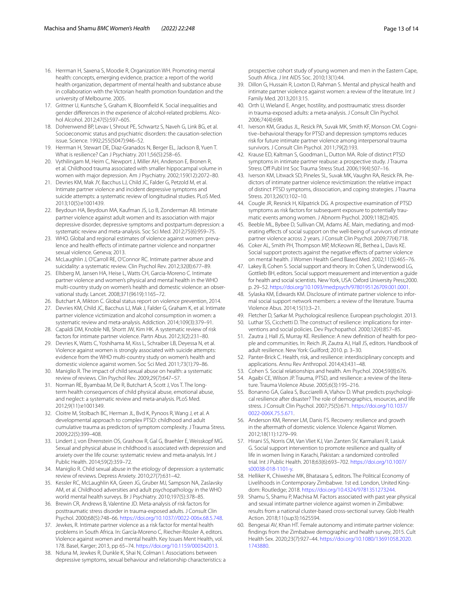- <span id="page-12-20"></span>16. Herrman H, Saxena S, Moodie R, Organization WH. Promoting mental health: concepts, emerging evidence, practice: a report of the world health organization, department of mental health and substance abuse in collaboration with the Victorian health promotion foundation and the university of Melbourne. 2005.
- 17. Grittner U, Kuntsche S, Graham K, Bloomfeld K. Social inequalities and gender diferences in the experience of alcohol-related problems. Alcohol Alcohol. 2012;47(5):597–605.
- <span id="page-12-0"></span>18. Dohrenwend BP, Levav I, Shrout PE, Schwartz S, Naveh G, Link BG, et al. Socioeconomic status and psychiatric disorders: the causation-selection issue. Science. 1992;255(5047):946–52.
- <span id="page-12-1"></span>19. Herrman H, Stewart DE, Diaz-Granados N, Berger EL, Jackson B, Yuen T. What is resilience? Can J Psychiatry. 2011;56(5):258–65.
- <span id="page-12-2"></span>20. Vythilingam M, Heim C, Newport J, Miller AH, Anderson E, Bronen R, et al. Childhood trauma associated with smaller hippocampal volume in women with major depression. Am J Psychiatry. 2002;159(12):2072–80.
- <span id="page-12-3"></span>21. Devries KM, Mak JY, Bacchus LJ, Child JC, Falder G, Petzold M, et al. Intimate partner violence and incident depressive symptoms and suicide attempts: a systematic review of longitudinal studies. PLoS Med. 2013;10(5):e1001439.
- 22. Beydoun HA, Beydoun MA, Kaufman JS, Lo B, Zonderman AB. Intimate partner violence against adult women and its association with major depressive disorder, depressive symptoms and postpartum depression: a systematic review and meta-analysis. Soc Sci Med. 2012;75(6):959–75.
- <span id="page-12-9"></span>23. WHO. Global and regional estimates of violence against women: prevalence and health effects of intimate partner violence and nonpartner sexual violence. Geneva; 2013.
- 24. McLaughlin J, O'Carroll RE, O'Connor RC. Intimate partner abuse and suicidality: a systematic review. Clin Psychol Rev. 2012;32(8):677–89.
- 25. Ellsberg M, Jansen HA, Heise L, Watts CH, Garcia-Moreno C. Intimate partner violence and women's physical and mental health in the WHO multi-country study on women's health and domestic violence: an observational study. Lancet. 2008;371(9619):1165–72.
- <span id="page-12-4"></span>26. Butchart A, Mikton C. Global status report on violence prevention, 2014.
- <span id="page-12-5"></span>27. Devries KM, Child JC, Bacchus LJ, Mak J, Falder G, Graham K, et al. Intimate partner violence victimization and alcohol consumption in women: a systematic review and meta-analysis. Addiction. 2014;109(3):379–91.
- 28. Capaldi DM, Knoble NB, Shortt JW, Kim HK. A systematic review of risk factors for intimate partner violence. Partn Abus. 2012;3(2):231–80.
- <span id="page-12-6"></span>29. Devries K, Watts C, Yoshihama M, Kiss L, Schraiber LB, Deyessa N, et al. Violence against women is strongly associated with suicide attempts: evidence from the WHO multi-country study on women's health and domestic violence against women. Soc Sci Med. 2011;73(1):79–86.
- <span id="page-12-7"></span>30. Maniglio R. The impact of child sexual abuse on health: a systematic review of reviews. Clin Psychol Rev. 2009;29(7):647–57.
- 31. Norman RE, Byambaa M, De R, Butchart A, Scott J, Vos T. The longterm health consequences of child physical abuse, emotional abuse, and neglect: a systematic review and meta-analysis. PLoS Med. 2012;9(11):e1001349.
- <span id="page-12-10"></span>32. Cloitre M, Stolbach BC, Herman JL, Bvd K, Pynoos R, Wang J, et al. A developmental approach to complex PTSD: childhood and adult cumulative trauma as predictors of symptom complexity. J Trauma Stress. 2009;22(5):399–408.
- 33. Lindert J, von Ehrenstein OS, Grashow R, Gal G, Braehler E, Weisskopf MG. Sexual and physical abuse in childhood is associated with depression and anxiety over the life course: systematic review and meta-analysis. Int J Public Health. 2014;59(2):359–72.
- 34. Maniglio R. Child sexual abuse in the etiology of depression: a systematic review of reviews. Depress Anxiety. 2010;27(7):631–42.
- 35. Kessler RC, McLaughlin KA, Green JG, Gruber MJ, Sampson NA, Zaslavsky AM, et al. Childhood adversities and adult psychopathology in the WHO world mental health surveys. Br J Psychiatry. 2010;197(5):378–85.
- <span id="page-12-8"></span>36. Brewin CR, Andrews B, Valentine JD. Meta-analysis of risk factors for posttraumatic stress disorder in trauma-exposed adults. J Consult Clin Psychol. 2000;68(5):748–66. [https://doi.org/10.1037//0022-006x.68.5.748.](https://doi.org/10.1037//0022-006x.68.5.748)
- <span id="page-12-11"></span>37. Jewkes, R. Intimate partner violence as a risk factor for mental health problems in South Africa. In: García-Moreno C, Riecher-Rössler A, editors. Violence against women and mental health. Key Issues Ment Health, vol. 178. Basel, Karger; 2013, pp 65–74. [https://doi.org/10.1159/000342013.](https://doi.org/10.1159/000342013)
- 38. Nduna M, Jewkes R, Dunkle K, Shai N, Colman I. Associations between depressive symptoms, sexual behaviour and relationship characteristics: a

prospective cohort study of young women and men in the Eastern Cape, South Africa. J Int AIDS Soc. 2010;13(1):44.

- <span id="page-12-12"></span>39. Dillon G, Hussain R, Loxton D, Rahman S. Mental and physical health and intimate partner violence against women: a review of the literature. Int J Family Med. 2013;2013:15.
- <span id="page-12-13"></span>40. Orth U, Wieland E. Anger, hostility, and posttraumatic stress disorder in trauma-exposed adults: a meta-analysis. J Consult Clin Psychol. 2006;74(4):698.
- <span id="page-12-15"></span>41. Iverson KM, Gradus JL, Resick PA, Suvak MK, Smith KF, Monson CM. Cognitive–behavioral therapy for PTSD and depression symptoms reduces risk for future intimate partner violence among interpersonal trauma survivors. J Consult Clin Psychol. 2011;79(2):193.
- 42. Krause ED, Kaltman S, Goodman L, Dutton MA. Role of distinct PTSD symptoms in intimate partner reabuse: a prospective study. J Trauma Stress Off Publ Int Soc Trauma Stress Stud. 2006;19(4):507-16.
- <span id="page-12-14"></span>43. Iverson KM, Litwack SD, Pineles SL, Suvak MK, Vaughn RA, Resick PA. Predictors of intimate partner violence revictimization: the relative impact of distinct PTSD symptoms, dissociation, and coping strategies. J Trauma Stress. 2013;26(1):102–10.
- <span id="page-12-16"></span>44. Cougle JR, Resnick H, Kilpatrick DG. A prospective examination of PTSD symptoms as risk factors for subsequent exposure to potentially traumatic events among women. J Abnorm Psychol. 2009;118(2):405.
- <span id="page-12-17"></span>45. Beeble ML, Bybee D, Sullivan CM, Adams AE. Main, mediating, and moderating efects of social support on the well-being of survivors of intimate partner violence across 2 years. J Consult Clin Psychol. 2009;77(4):718.
- <span id="page-12-21"></span>46. Coker AL, Smith PH, Thompson MP, McKeown RE, Bethea L, Davis KE. Social support protects against the negative effects of partner violence on mental health. J Women Health Gend Based Med. 2002;11(5):465–76.
- 47. Lakey B, Cohen S. Social support and theory. In: Cohen S, Underwood LG, Gottlieb BH, editors. Social support measurement and intervention a guide for health and social scientists. New York, USA: Oxford University Press;2000. p. 29–52.<https://doi.org/10.1093/med:psych/9780195126709.001.0001>.
- <span id="page-12-19"></span>48. Sylaska KM, Edwards KM. Disclosure of intimate partner violence to informal social support network members: a review of the literature. Trauma Violence Abus. 2014;15(1):3–21.
- 49. Fletcher D, Sarkar M. Psychological resilience. European psychologist. 2013.
- 50. Luthar SS, Cicchetti D. The construct of resilience: implications for interventions and social policies. Dev Psychopathol. 2000;12(4):857–85.
- 51. Zautra J, Hall JS, Murray KE. Resilience: A new defnition of health for people and communities. In: Reich JR, Zautra AJ, Hall JS, editors. Handbook of adult resilience. New York: Guilford; 2010. p. 3–30.
- 52. Panter-Brick C. Health, risk, and resilience: interdisciplinary concepts and applications. Annu Rev Anthropol. 2014;43:431–48.
- 53. Cohen S. Social relationships and health. Am Psychol. 2004;59(8):676.
- 54. Agaibi CE, Wilson JP. Trauma, PTSD, and resilience: a review of the literature. Trauma Violence Abuse. 2005;6(3):195–216.
- <span id="page-12-18"></span>55. Bonanno GA, Galea S, Bucciarelli A, Vlahov D. What predicts psychological resilience after disaster? The role of demographics, resources, and life stress. J Consult Clin Psychol. 2007;75(5):671. [https://doi.org/10.1037/](https://doi.org/10.1037/0022-006X.75.5.671) [0022-006X.75.5.671.](https://doi.org/10.1037/0022-006X.75.5.671)
- <span id="page-12-22"></span>56. Anderson KM, Renner LM, Danis FS. Recovery: resilience and growth in the aftermath of domestic violence. Violence Against Women. 2012;18(11):1279–99.
- <span id="page-12-23"></span>57. Hirani SS, Norris CM, Van Vliet KJ, Van Zanten SV, Karmaliani R, Lasiuk G. Social support intervention to promote resilience and quality of life in women living in Karachi, Pakistan: a randomized controlled trial. Int J Public Health. 2018;63(6):693–702. [https://doi.org/10.1007/](https://doi.org/10.1007/s00038-018-1101-y) [s00038-018-1101-y](https://doi.org/10.1007/s00038-018-1101-y).
- <span id="page-12-24"></span>58. Helliker K, Chiweshe MK, Bhatasara S, editors. The Political Economy of Livelihoods in Contemporary Zimbabwe. 1st ed. London, United Kingdom: Routledge; 2018. [https://doi.org/10.4324/9781351273244.](https://doi.org/10.4324/9781351273244)
- <span id="page-12-25"></span>59. Shamu S, Shamu P, Machisa M. Factors associated with past year physical and sexual intimate partner violence against women in Zimbabwe: results from a national cluster-based cross-sectional survey. Glob Health Action. 2018;11(sup3):1625594.
- 60. Bengesai AV, Khan HT. Female autonomy and intimate partner violence: fndings from the Zimbabwe demographic and health survey, 2015. Cult Health Sex. 2020;23(7):927–44. [https://doi.org/10.1080/13691058.2020.](https://doi.org/10.1080/13691058.2020.1743880) [1743880](https://doi.org/10.1080/13691058.2020.1743880).